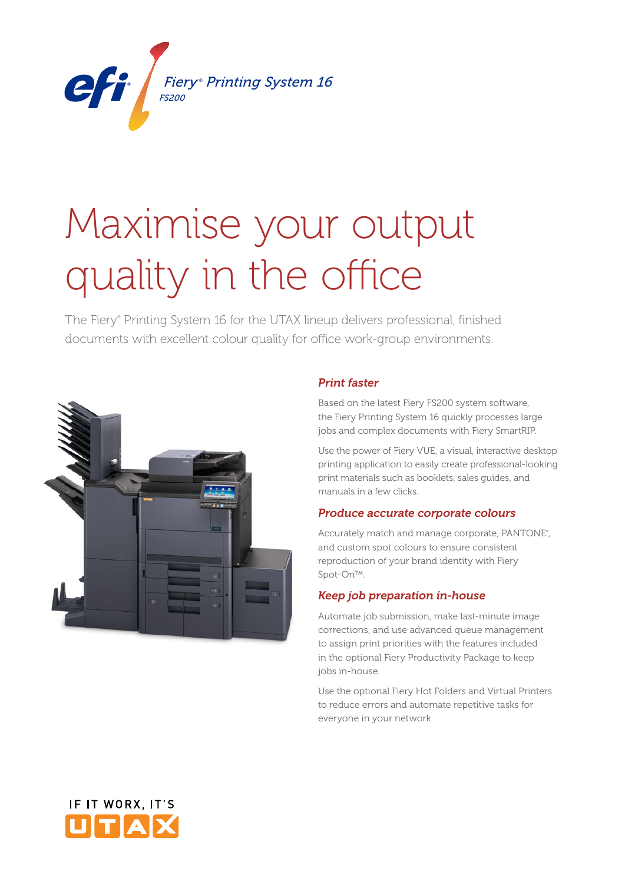

# Maximise your output quality in the office *Fiery ® Printing System 16 FS200*

The Fiery® Printing System 16 for the UTAX lineup delivers professional, finished documents with excellent colour quality for office work-group environments.



## *Print faster*

Based on the latest Fiery FS200 system software, the Fiery Printing System 16 quickly processes large jobs and complex documents with Fiery SmartRIP.

Use the power of Fiery VUE, a visual, interactive desktop printing application to easily create professional-looking print materials such as booklets, sales guides, and manuals in a few clicks.

## *Produce accurate corporate colours*

Accurately match and manage corporate, PANTONE® , and custom spot colours to ensure consistent reproduction of your brand identity with Fiery Spot-On™.

## *Keep job preparation in-house*

Automate job submission, make last-minute image corrections, and use advanced queue management to assign print priorities with the features included in the optional Fiery Productivity Package to keep jobs in-house.

Use the optional Fiery Hot Folders and Virtual Printers to reduce errors and automate repetitive tasks for everyone in your network.